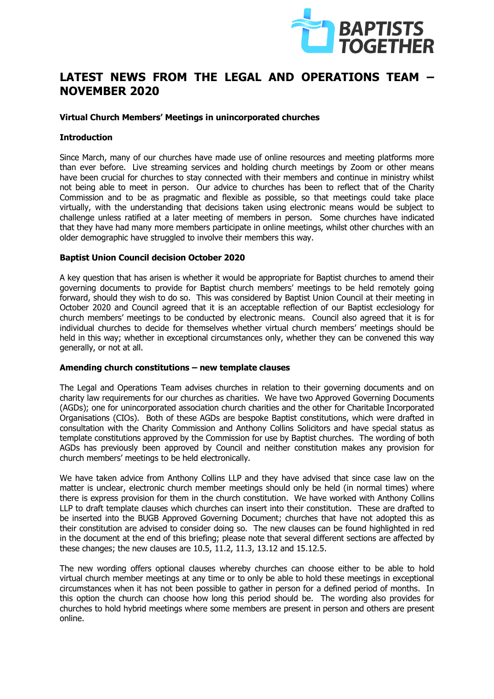

# **LATEST NEWS FROM THE LEGAL AND OPERATIONS TEAM – NOVEMBER 2020**

# **Virtual Church Members' Meetings in unincorporated churches**

# **Introduction**

Since March, many of our churches have made use of online resources and meeting platforms more than ever before. Live streaming services and holding church meetings by Zoom or other means have been crucial for churches to stay connected with their members and continue in ministry whilst not being able to meet in person. Our advice to churches has been to reflect that of the Charity Commission and to be as pragmatic and flexible as possible, so that meetings could take place virtually, with the understanding that decisions taken using electronic means would be subject to challenge unless ratified at a later meeting of members in person. Some churches have indicated that they have had many more members participate in online meetings, whilst other churches with an older demographic have struggled to involve their members this way.

### **Baptist Union Council decision October 2020**

A key question that has arisen is whether it would be appropriate for Baptist churches to amend their governing documents to provide for Baptist church members' meetings to be held remotely going forward, should they wish to do so. This was considered by Baptist Union Council at their meeting in October 2020 and Council agreed that it is an acceptable reflection of our Baptist ecclesiology for church members' meetings to be conducted by electronic means. Council also agreed that it is for individual churches to decide for themselves whether virtual church members' meetings should be held in this way; whether in exceptional circumstances only, whether they can be convened this way generally, or not at all.

### **Amending church constitutions – new template clauses**

The Legal and Operations Team advises churches in relation to their governing documents and on charity law requirements for our churches as charities. We have two Approved Governing Documents (AGDs); one for unincorporated association church charities and the other for Charitable Incorporated Organisations (CIOs). Both of these AGDs are bespoke Baptist constitutions, which were drafted in consultation with the Charity Commission and Anthony Collins Solicitors and have special status as template constitutions approved by the Commission for use by Baptist churches. The wording of both AGDs has previously been approved by Council and neither constitution makes any provision for church members' meetings to be held electronically.

We have taken advice from Anthony Collins LLP and they have advised that since case law on the matter is unclear, electronic church member meetings should only be held (in normal times) where there is express provision for them in the church constitution. We have worked with Anthony Collins LLP to draft template clauses which churches can insert into their constitution. These are drafted to be inserted into the BUGB Approved Governing Document; churches that have not adopted this as their constitution are advised to consider doing so. The new clauses can be found highlighted in red in the document at the end of this briefing; please note that several different sections are affected by these changes; the new clauses are 10.5, 11.2, 11.3, 13.12 and 15.12.5.

The new wording offers optional clauses whereby churches can choose either to be able to hold virtual church member meetings at any time or to only be able to hold these meetings in exceptional circumstances when it has not been possible to gather in person for a defined period of months. In this option the church can choose how long this period should be. The wording also provides for churches to hold hybrid meetings where some members are present in person and others are present online.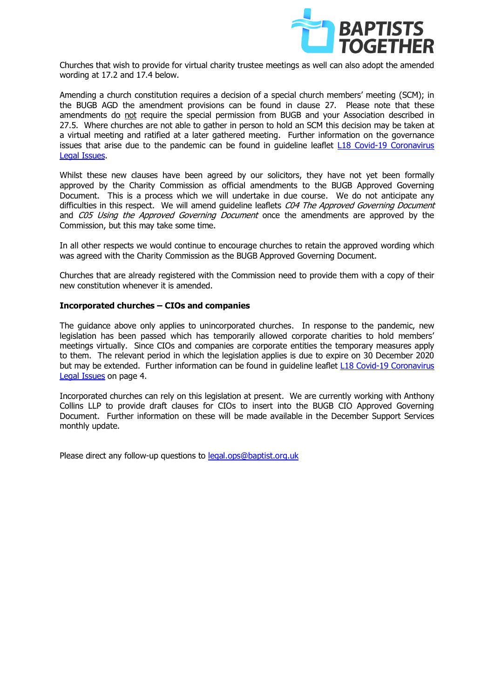

Churches that wish to provide for virtual charity trustee meetings as well can also adopt the amended wording at 17.2 and 17.4 below.

Amending a church constitution requires a decision of a special church members' meeting (SCM); in the BUGB AGD the amendment provisions can be found in clause 27. Please note that these amendments do not require the special permission from BUGB and your Association described in 27.5. Where churches are not able to gather in person to hold an SCM this decision may be taken at a virtual meeting and ratified at a later gathered meeting. Further information on the governance issues that arise due to the pandemic can be found in guideline leaflet [L18 Covid-19 Coronavirus](https://www.baptist.org.uk/Articles/572553/Guideline_Leaflet_L18.aspx)  [Legal Issues.](https://www.baptist.org.uk/Articles/572553/Guideline_Leaflet_L18.aspx)

Whilst these new clauses have been agreed by our solicitors, they have not yet been formally approved by the Charity Commission as official amendments to the BUGB Approved Governing Document. This is a process which we will undertake in due course. We do not anticipate any difficulties in this respect. We will amend quideline leaflets C04 The Approved Governing Document and C05 Using the Approved Governing Document once the amendments are approved by the Commission, but this may take some time.

In all other respects we would continue to encourage churches to retain the approved wording which was agreed with the Charity Commission as the BUGB Approved Governing Document.

Churches that are already registered with the Commission need to provide them with a copy of their new constitution whenever it is amended.

# **Incorporated churches – CIOs and companies**

The guidance above only applies to unincorporated churches. In response to the pandemic, new legislation has been passed which has temporarily allowed corporate charities to hold members' meetings virtually. Since CIOs and companies are corporate entities the temporary measures apply to them. The relevant period in which the legislation applies is due to expire on 30 December 2020 but may be extended. Further information can be found in guideline leaflet [L18 Covid-19 Coronavirus](https://www.baptist.org.uk/Articles/572553/Guideline_Leaflet_L18.aspx) [Legal Issues](https://www.baptist.org.uk/Articles/572553/Guideline_Leaflet_L18.aspx) on page 4.

Incorporated churches can rely on this legislation at present. We are currently working with Anthony Collins LLP to provide draft clauses for CIOs to insert into the BUGB CIO Approved Governing Document. Further information on these will be made available in the December Support Services monthly update.

Please direct any follow-up questions to [legal.ops@baptist.org.uk](mailto:legal.ops@baptist.org.uk)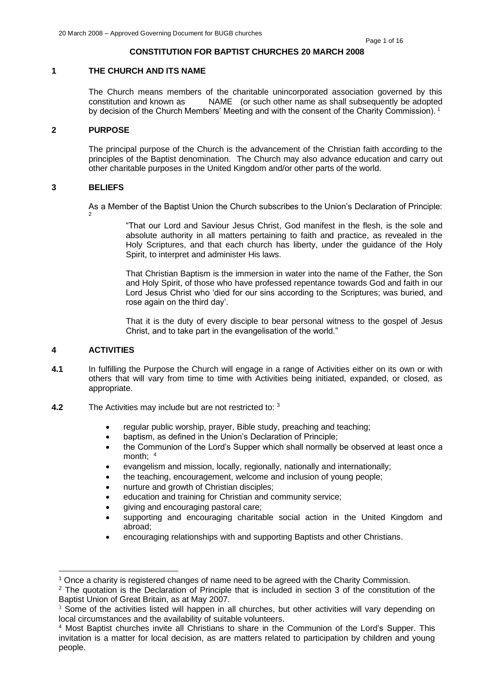## **CONSTITUTION FOR BAPTIST CHURCHES 20 MARCH 2008**

### **1 THE CHURCH AND ITS NAME**

The Church means members of the charitable unincorporated association governed by this constitution and known as NAME (or such other name as shall subsequently be adopted by decision of the Church Members' Meeting and with the consent of the Charity Commission).<sup>1</sup>

#### **2 PURPOSE**

The principal purpose of the Church is the advancement of the Christian faith according to the principles of the Baptist denomination. The Church may also advance education and carry out other charitable purposes in the United Kingdom and/or other parts of the world.

### **3 BELIEFS**

2

As a Member of the Baptist Union the Church subscribes to the Union's Declaration of Principle:

"That our Lord and Saviour Jesus Christ, God manifest in the flesh, is the sole and absolute authority in all matters pertaining to faith and practice, as revealed in the Holy Scriptures, and that each church has liberty, under the guidance of the Holy Spirit, to interpret and administer His laws.

That Christian Baptism is the immersion in water into the name of the Father, the Son and Holy Spirit, of those who have professed repentance towards God and faith in our Lord Jesus Christ who 'died for our sins according to the Scriptures; was buried, and rose again on the third day'.

That it is the duty of every disciple to bear personal witness to the gospel of Jesus Christ, and to take part in the evangelisation of the world."

### **4 ACTIVITIES**

- **4.1** In fulfilling the Purpose the Church will engage in a range of Activities either on its own or with others that will vary from time to time with Activities being initiated, expanded, or closed, as appropriate.
- **4.2** The Activities may include but are not restricted to: <sup>3</sup>
	- regular public worship, prayer, Bible study, preaching and teaching;
	- baptism, as defined in the Union's Declaration of Principle;
	- the Communion of the Lord's Supper which shall normally be observed at least once a month: 4
	- evangelism and mission, locally, regionally, nationally and internationally;
	- the teaching, encouragement, welcome and inclusion of young people;
	- nurture and growth of Christian disciples:
	- education and training for Christian and community service;
	- giving and encouraging pastoral care;
	- supporting and encouraging charitable social action in the United Kingdom and abroad;
	- encouraging relationships with and supporting Baptists and other Christians.

 $<sup>1</sup>$  Once a charity is registered changes of name need to be agreed with the Charity Commission.</sup>

<sup>2</sup> The quotation is the Declaration of Principle that is included in section 3 of the constitution of the Baptist Union of Great Britain, as at May 2007.

<sup>&</sup>lt;sup>3</sup> Some of the activities listed will happen in all churches, but other activities will vary depending on local circumstances and the availability of suitable volunteers.

<sup>4</sup> Most Baptist churches invite all Christians to share in the Communion of the Lord's Supper. This invitation is a matter for local decision, as are matters related to participation by children and young people.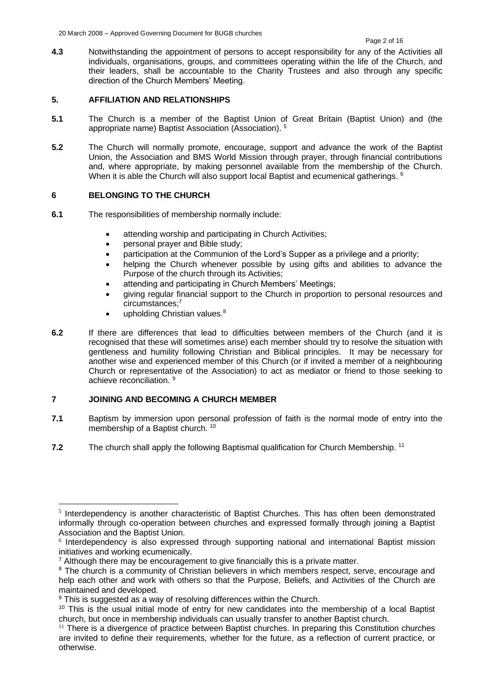**4.3** Notwithstanding the appointment of persons to accept responsibility for any of the Activities all individuals, organisations, groups, and committees operating within the life of the Church, and their leaders, shall be accountable to the Charity Trustees and also through any specific direction of the Church Members' Meeting.

# **5. AFFILIATION AND RELATIONSHIPS**

- **5.1** The Church is a member of the Baptist Union of Great Britain (Baptist Union) and (the appropriate name) Baptist Association (Association). <sup>5</sup>
- **5.2** The Church will normally promote, encourage, support and advance the work of the Baptist Union, the Association and BMS World Mission through prayer, through financial contributions and, where appropriate, by making personnel available from the membership of the Church. When it is able the Church will also support local Baptist and ecumenical gatherings. <sup>6</sup>

# **6 BELONGING TO THE CHURCH**

- **6.1** The responsibilities of membership normally include:
	- attending worship and participating in Church Activities:
	- personal prayer and Bible study;
	- participation at the Communion of the Lord's Supper as a privilege and a priority;
	- helping the Church whenever possible by using gifts and abilities to advance the Purpose of the church through its Activities;
	- attending and participating in Church Members' Meetings;
	- giving regular financial support to the Church in proportion to personal resources and circumstances;<sup>7</sup>
	- $\bullet$  upholding Christian values.<sup>8</sup>
- **6.2** If there are differences that lead to difficulties between members of the Church (and it is recognised that these will sometimes arise) each member should try to resolve the situation with gentleness and humility following Christian and Biblical principles. It may be necessary for another wise and experienced member of this Church (or if invited a member of a neighbouring Church or representative of the Association) to act as mediator or friend to those seeking to achieve reconciliation. <sup>9</sup>

# **7 JOINING AND BECOMING A CHURCH MEMBER**

- **7.1** Baptism by immersion upon personal profession of faith is the normal mode of entry into the membership of a Baptist church.<sup>10</sup>
- **7.2** The church shall apply the following Baptismal qualification for Church Membership.<sup>11</sup>

<sup>&</sup>lt;sup>5</sup> Interdependency is another characteristic of Baptist Churches. This has often been demonstrated informally through co-operation between churches and expressed formally through joining a Baptist Association and the Baptist Union.

<sup>6</sup> Interdependency is also expressed through supporting national and international Baptist mission initiatives and working ecumenically.

 $<sup>7</sup>$  Although there may be encouragement to give financially this is a private matter.</sup>

<sup>&</sup>lt;sup>8</sup> The church is a community of Christian believers in which members respect, serve, encourage and help each other and work with others so that the Purpose, Beliefs, and Activities of the Church are maintained and developed.

 $9$  This is suggested as a way of resolving differences within the Church.

<sup>&</sup>lt;sup>10</sup> This is the usual initial mode of entry for new candidates into the membership of a local Baptist church, but once in membership individuals can usually transfer to another Baptist church.

<sup>&</sup>lt;sup>11</sup> There is a divergence of practice between Baptist churches. In preparing this Constitution churches are invited to define their requirements, whether for the future, as a reflection of current practice, or otherwise.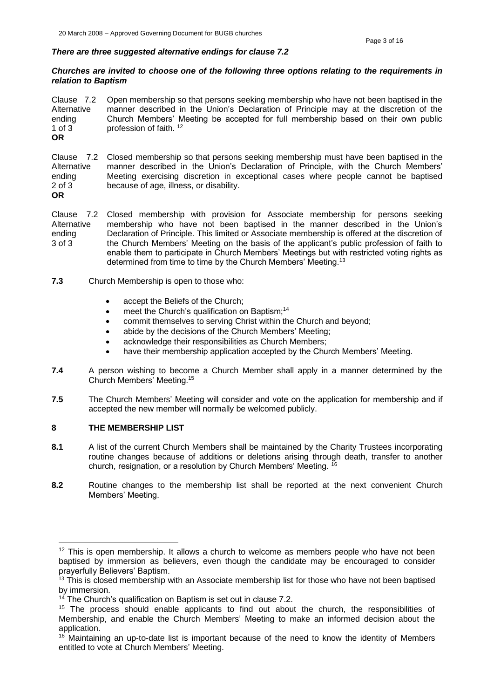#### *There are three suggested alternative endings for clause 7.2*

#### *Churches are invited to choose one of the following three options relating to the requirements in relation to Baptism*

Clause 7.2 Alternative ending 1 of 3 Open membership so that persons seeking membership who have not been baptised in the manner described in the Union's Declaration of Principle may at the discretion of the Church Members' Meeting be accepted for full membership based on their own public profession of faith. 12 **OR**

Clause 7.2 Closed membership so that persons seeking membership must have been baptised in the Alternative ending 2 of 3 manner described in the Union's Declaration of Principle, with the Church Members' Meeting exercising discretion in exceptional cases where people cannot be baptised because of age, illness, or disability.

**OR**

Clause 7.2 Closed membership with provision for Associate membership for persons seeking **Alternative** ending 3 of 3 membership who have not been baptised in the manner described in the Union's Declaration of Principle. This limited or Associate membership is offered at the discretion of the Church Members' Meeting on the basis of the applicant's public profession of faith to enable them to participate in Church Members' Meetings but with restricted voting rights as determined from time to time by the Church Members' Meeting.<sup>13</sup>

- **7.3** Church Membership is open to those who:
	- accept the Beliefs of the Church;
	- meet the Church's qualification on Baptism;<sup>14</sup>
	- commit themselves to serving Christ within the Church and beyond;
	- abide by the decisions of the Church Members' Meeting;
	- acknowledge their responsibilities as Church Members;
	- have their membership application accepted by the Church Members' Meeting.
- **7.4** A person wishing to become a Church Member shall apply in a manner determined by the Church Members' Meeting.<sup>15</sup>
- **7.5** The Church Members' Meeting will consider and vote on the application for membership and if accepted the new member will normally be welcomed publicly.

# **8 THE MEMBERSHIP LIST**

- **8.1** A list of the current Church Members shall be maintained by the Charity Trustees incorporating routine changes because of additions or deletions arising through death, transfer to another church, resignation, or a resolution by Church Members' Meeting. <sup>16</sup>
- **8.2** Routine changes to the membership list shall be reported at the next convenient Church Members' Meeting.

<sup>&</sup>lt;sup>12</sup> This is open membership. It allows a church to welcome as members people who have not been baptised by immersion as believers, even though the candidate may be encouraged to consider prayerfully Believers' Baptism.

 $13$  This is closed membership with an Associate membership list for those who have not been baptised by immersion.

 $14$  The Church's qualification on Baptism is set out in clause 7.2.

 $15$  The process should enable applicants to find out about the church, the responsibilities of Membership, and enable the Church Members' Meeting to make an informed decision about the application.

<sup>&</sup>lt;sup>16</sup> Maintaining an up-to-date list is important because of the need to know the identity of Members entitled to vote at Church Members' Meeting.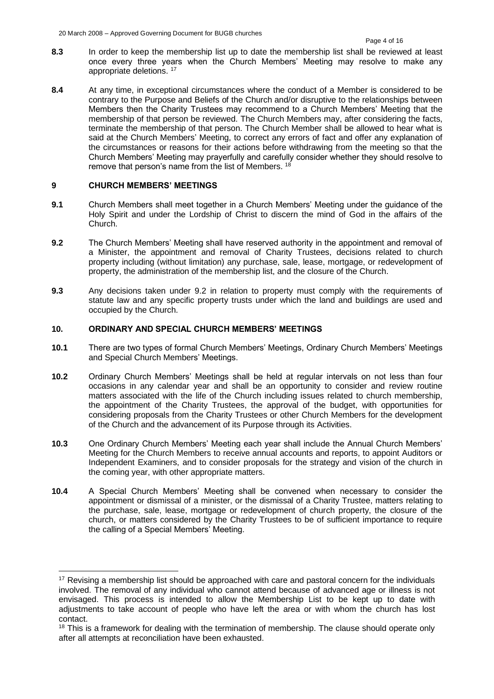- **8.3** In order to keep the membership list up to date the membership list shall be reviewed at least once every three years when the Church Members' Meeting may resolve to make any appropriate deletions. <sup>17</sup>
- **8.4** At any time, in exceptional circumstances where the conduct of a Member is considered to be contrary to the Purpose and Beliefs of the Church and/or disruptive to the relationships between Members then the Charity Trustees may recommend to a Church Members' Meeting that the membership of that person be reviewed. The Church Members may, after considering the facts, terminate the membership of that person. The Church Member shall be allowed to hear what is said at the Church Members' Meeting, to correct any errors of fact and offer any explanation of the circumstances or reasons for their actions before withdrawing from the meeting so that the Church Members' Meeting may prayerfully and carefully consider whether they should resolve to remove that person's name from the list of Members. <sup>18</sup>

# **9 CHURCH MEMBERS' MEETINGS**

- **9.1** Church Members shall meet together in a Church Members' Meeting under the guidance of the Holy Spirit and under the Lordship of Christ to discern the mind of God in the affairs of the Church.
- **9.2** The Church Members' Meeting shall have reserved authority in the appointment and removal of a Minister, the appointment and removal of Charity Trustees, decisions related to church property including (without limitation) any purchase, sale, lease, mortgage, or redevelopment of property, the administration of the membership list, and the closure of the Church.
- **9.3** Any decisions taken under 9.2 in relation to property must comply with the requirements of statute law and any specific property trusts under which the land and buildings are used and occupied by the Church.

# **10. ORDINARY AND SPECIAL CHURCH MEMBERS' MEETINGS**

- **10.1** There are two types of formal Church Members' Meetings, Ordinary Church Members' Meetings and Special Church Members' Meetings.
- **10.2** Ordinary Church Members' Meetings shall be held at regular intervals on not less than four occasions in any calendar year and shall be an opportunity to consider and review routine matters associated with the life of the Church including issues related to church membership, the appointment of the Charity Trustees, the approval of the budget, with opportunities for considering proposals from the Charity Trustees or other Church Members for the development of the Church and the advancement of its Purpose through its Activities.
- **10.3** One Ordinary Church Members' Meeting each year shall include the Annual Church Members' Meeting for the Church Members to receive annual accounts and reports, to appoint Auditors or Independent Examiners, and to consider proposals for the strategy and vision of the church in the coming year, with other appropriate matters.
- **10.4** A Special Church Members' Meeting shall be convened when necessary to consider the appointment or dismissal of a minister, or the dismissal of a Charity Trustee, matters relating to the purchase, sale, lease, mortgage or redevelopment of church property, the closure of the church, or matters considered by the Charity Trustees to be of sufficient importance to require the calling of a Special Members' Meeting.

 $17$  Revising a membership list should be approached with care and pastoral concern for the individuals involved. The removal of any individual who cannot attend because of advanced age or illness is not envisaged. This process is intended to allow the Membership List to be kept up to date with adjustments to take account of people who have left the area or with whom the church has lost contact.

<sup>&</sup>lt;sup>18</sup> This is a framework for dealing with the termination of membership. The clause should operate only after all attempts at reconciliation have been exhausted.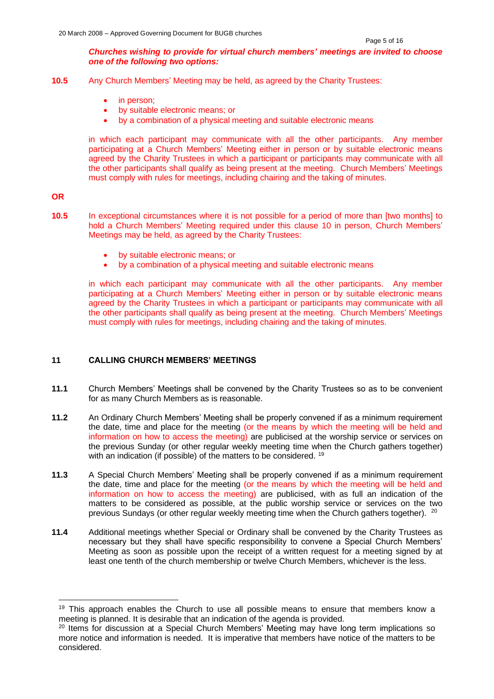### *Churches wishing to provide for virtual church members' meetings are invited to choose one of the following two options:*

- **10.5** Any Church Members' Meeting may be held, as agreed by the Charity Trustees:
	- in person;
	- by suitable electronic means; or
	- by a combination of a physical meeting and suitable electronic means

in which each participant may communicate with all the other participants. Any member participating at a Church Members' Meeting either in person or by suitable electronic means agreed by the Charity Trustees in which a participant or participants may communicate with all the other participants shall qualify as being present at the meeting. Church Members' Meetings must comply with rules for meetings, including chairing and the taking of minutes.

**OR**

- **10.5** In exceptional circumstances where it is not possible for a period of more than [two months] to hold a Church Members' Meeting required under this clause 10 in person, Church Members' Meetings may be held, as agreed by the Charity Trustees:
	- by suitable electronic means; or
	- by a combination of a physical meeting and suitable electronic means

in which each participant may communicate with all the other participants. Any member participating at a Church Members' Meeting either in person or by suitable electronic means agreed by the Charity Trustees in which a participant or participants may communicate with all the other participants shall qualify as being present at the meeting. Church Members' Meetings must comply with rules for meetings, including chairing and the taking of minutes.

# **11 CALLING CHURCH MEMBERS' MEETINGS**

- **11.1** Church Members' Meetings shall be convened by the Charity Trustees so as to be convenient for as many Church Members as is reasonable.
- **11.2** An Ordinary Church Members' Meeting shall be properly convened if as a minimum requirement the date, time and place for the meeting (or the means by which the meeting will be held and information on how to access the meeting) are publicised at the worship service or services on the previous Sunday (or other regular weekly meeting time when the Church gathers together) with an indication (if possible) of the matters to be considered. <sup>19</sup>
- **11.3** A Special Church Members' Meeting shall be properly convened if as a minimum requirement the date, time and place for the meeting (or the means by which the meeting will be held and information on how to access the meeting) are publicised, with as full an indication of the matters to be considered as possible, at the public worship service or services on the two previous Sundays (or other regular weekly meeting time when the Church gathers together). <sup>20</sup>
- **11.4** Additional meetings whether Special or Ordinary shall be convened by the Charity Trustees as necessary but they shall have specific responsibility to convene a Special Church Members' Meeting as soon as possible upon the receipt of a written request for a meeting signed by at least one tenth of the church membership or twelve Church Members, whichever is the less.

 $19$  This approach enables the Church to use all possible means to ensure that members know a meeting is planned. It is desirable that an indication of the agenda is provided.

<sup>&</sup>lt;sup>20</sup> Items for discussion at a Special Church Members' Meeting may have long term implications so more notice and information is needed. It is imperative that members have notice of the matters to be considered.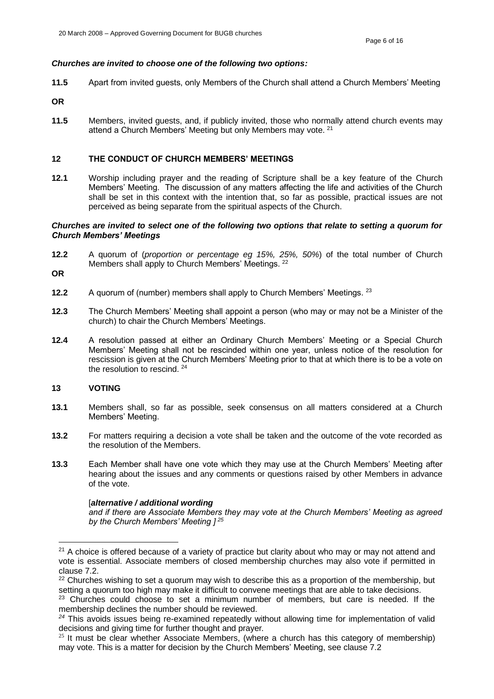#### *Churches are invited to choose one of the following two options:*

- **11.5** Apart from invited guests, only Members of the Church shall attend a Church Members' Meeting
- **OR**
- **11.5** Members, invited guests, and, if publicly invited, those who normally attend church events may attend a Church Members' Meeting but only Members may vote. <sup>21</sup>

#### **12 THE CONDUCT OF CHURCH MEMBERS' MEETINGS**

**12.1** Worship including prayer and the reading of Scripture shall be a key feature of the Church Members' Meeting. The discussion of any matters affecting the life and activities of the Church shall be set in this context with the intention that, so far as possible, practical issues are not perceived as being separate from the spiritual aspects of the Church.

#### *Churches are invited to select one of the following two options that relate to setting a quorum for Church Members' Meetings*

- **12.2** A quorum of (*proportion or percentage eg 15%, 25%, 50%*) of the total number of Church Members shall apply to Church Members' Meetings. <sup>22</sup>
- **OR**
- **12.2** A quorum of (number) members shall apply to Church Members' Meetings. <sup>23</sup>
- **12.3** The Church Members' Meeting shall appoint a person (who may or may not be a Minister of the church) to chair the Church Members' Meetings.
- **12.4** A resolution passed at either an Ordinary Church Members' Meeting or a Special Church Members' Meeting shall not be rescinded within one year, unless notice of the resolution for rescission is given at the Church Members' Meeting prior to that at which there is to be a vote on the resolution to rescind. <sup>24</sup>

# **13 VOTING**

- **13.1** Members shall, so far as possible, seek consensus on all matters considered at a Church Members' Meeting.
- **13.2** For matters requiring a decision a vote shall be taken and the outcome of the vote recorded as the resolution of the Members.
- **13.3** Each Member shall have one vote which they may use at the Church Members' Meeting after hearing about the issues and any comments or questions raised by other Members in advance of the vote.

### [*alternative / additional wording*

*and if there are Associate Members they may vote at the Church Members' Meeting as agreed by the Church Members' Meeting ] <sup>25</sup>*

<sup>&</sup>lt;sup>21</sup> A choice is offered because of a variety of practice but clarity about who may or may not attend and vote is essential. Associate members of closed membership churches may also vote if permitted in clause 7.2.

<sup>&</sup>lt;sup>22</sup> Churches wishing to set a quorum may wish to describe this as a proportion of the membership, but setting a quorum too high may make it difficult to convene meetings that are able to take decisions.

<sup>&</sup>lt;sup>23</sup> Churches could choose to set a minimum number of members, but care is needed. If the membership declines the number should be reviewed.

<sup>&</sup>lt;sup>24</sup> This avoids issues being re-examined repeatedly without allowing time for implementation of valid decisions and giving time for further thought and prayer*.*

 $25$  It must be clear whether Associate Members, (where a church has this category of membership) may vote. This is a matter for decision by the Church Members' Meeting, see clause 7.2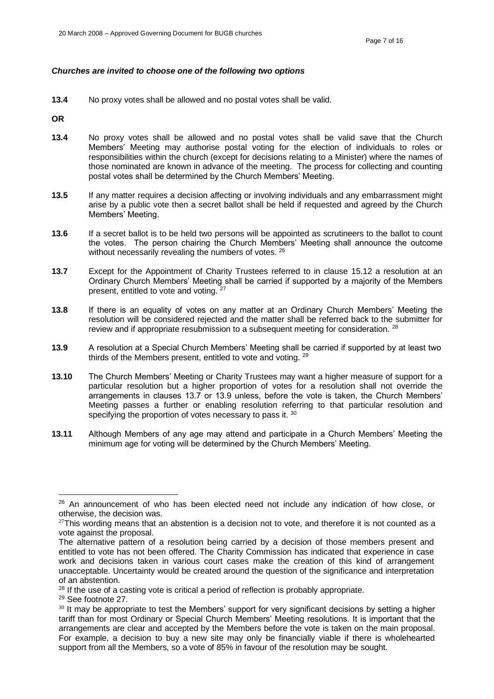## *Churches are invited to choose one of the following two options*

**13.4** No proxy votes shall be allowed and no postal votes shall be valid.

**OR**

- **13.4** No proxy votes shall be allowed and no postal votes shall be valid save that the Church Members' Meeting may authorise postal voting for the election of individuals to roles or responsibilities within the church (except for decisions relating to a Minister) where the names of those nominated are known in advance of the meeting. The process for collecting and counting postal votes shall be determined by the Church Members' Meeting.
- **13.5** If any matter requires a decision affecting or involving individuals and any embarrassment might arise by a public vote then a secret ballot shall be held if requested and agreed by the Church Members' Meeting.
- **13.6** If a secret ballot is to be held two persons will be appointed as scrutineers to the ballot to count the votes. The person chairing the Church Members' Meeting shall announce the outcome without necessarily revealing the numbers of votes. <sup>26</sup>
- **13.7**  Except for the Appointment of Charity Trustees referred to in clause 15.12 a resolution at an Ordinary Church Members' Meeting shall be carried if supported by a majority of the Members present, entitled to vote and voting. <sup>27</sup>
- **13.8** If there is an equality of votes on any matter at an Ordinary Church Members' Meeting the resolution will be considered rejected and the matter shall be referred back to the submitter for review and if appropriate resubmission to a subsequent meeting for consideration. <sup>28</sup>
- **13.9** A resolution at a Special Church Members' Meeting shall be carried if supported by at least two thirds of the Members present, entitled to vote and voting. <sup>29</sup>
- **13.10** The Church Members' Meeting or Charity Trustees may want a higher measure of support for a particular resolution but a higher proportion of votes for a resolution shall not override the arrangements in clauses 13.7 or 13.9 unless, before the vote is taken, the Church Members' Meeting passes a further or enabling resolution referring to that particular resolution and specifying the proportion of votes necessary to pass it. 30
- **13.11** Although Members of any age may attend and participate in a Church Members' Meeting the minimum age for voting will be determined by the Church Members' Meeting.

 $26$  An announcement of who has been elected need not include any indication of how close, or otherwise, the decision was.

 $27$ This wording means that an abstention is a decision not to vote, and therefore it is not counted as a vote against the proposal.

The alternative pattern of a resolution being carried by a decision of those members present and entitled to vote has not been offered. The Charity Commission has indicated that experience in case work and decisions taken in various court cases make the creation of this kind of arrangement unacceptable. Uncertainty would be created around the question of the significance and interpretation of an abstention.

<sup>&</sup>lt;sup>28</sup> If the use of a casting vote is critical a period of reflection is probably appropriate.

<sup>29</sup> See footnote 27.

 $30$  It may be appropriate to test the Members' support for very significant decisions by setting a higher tariff than for most Ordinary or Special Church Members' Meeting resolutions. It is important that the arrangements are clear and accepted by the Members before the vote is taken on the main proposal. For example, a decision to buy a new site may only be financially viable if there is wholehearted support from all the Members, so a vote of 85% in favour of the resolution may be sought.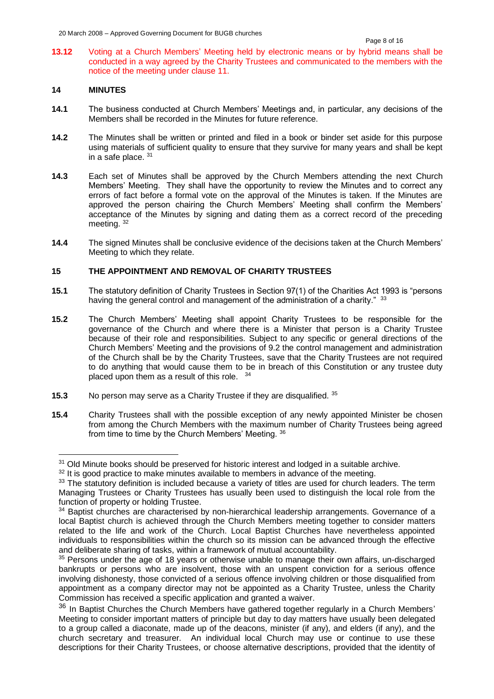**13.12** Voting at a Church Members' Meeting held by electronic means or by hybrid means shall be conducted in a way agreed by the Charity Trustees and communicated to the members with the notice of the meeting under clause 11.

# **14 MINUTES**

- **14.1** The business conducted at Church Members' Meetings and, in particular, any decisions of the Members shall be recorded in the Minutes for future reference.
- **14.2** The Minutes shall be written or printed and filed in a book or binder set aside for this purpose using materials of sufficient quality to ensure that they survive for many years and shall be kept in a safe place. <sup>31</sup>
- **14.3** Each set of Minutes shall be approved by the Church Members attending the next Church Members' Meeting. They shall have the opportunity to review the Minutes and to correct any errors of fact before a formal vote on the approval of the Minutes is taken. If the Minutes are approved the person chairing the Church Members' Meeting shall confirm the Members' acceptance of the Minutes by signing and dating them as a correct record of the preceding meeting.<sup>32</sup>
- **14.4** The signed Minutes shall be conclusive evidence of the decisions taken at the Church Members' Meeting to which they relate.

# **15 THE APPOINTMENT AND REMOVAL OF CHARITY TRUSTEES**

- **15.1** The statutory definition of Charity Trustees in Section 97(1) of the Charities Act 1993 is "persons having the general control and management of the administration of a charity." 33
- **15.2** The Church Members' Meeting shall appoint Charity Trustees to be responsible for the governance of the Church and where there is a Minister that person is a Charity Trustee because of their role and responsibilities. Subject to any specific or general directions of the Church Members' Meeting and the provisions of 9.2 the control management and administration of the Church shall be by the Charity Trustees, save that the Charity Trustees are not required to do anything that would cause them to be in breach of this Constitution or any trustee duty placed upon them as a result of this role. <sup>34</sup>
- **15.3** No person may serve as a Charity Trustee if they are disqualified. <sup>35</sup>
- **15.4** Charity Trustees shall with the possible exception of any newly appointed Minister be chosen from among the Church Members with the maximum number of Charity Trustees being agreed from time to time by the Church Members' Meeting. <sup>36</sup>

<sup>&</sup>lt;sup>31</sup> Old Minute books should be preserved for historic interest and lodged in a suitable archive.

<sup>&</sup>lt;sup>32</sup> It is good practice to make minutes available to members in advance of the meeting.

<sup>33</sup> The statutory definition is included because a variety of titles are used for church leaders. The term Managing Trustees or Charity Trustees has usually been used to distinguish the local role from the function of property or holding Trustee.

<sup>&</sup>lt;sup>34</sup> Baptist churches are characterised by non-hierarchical leadership arrangements. Governance of a local Baptist church is achieved through the Church Members meeting together to consider matters related to the life and work of the Church. Local Baptist Churches have nevertheless appointed individuals to responsibilities within the church so its mission can be advanced through the effective and deliberate sharing of tasks, within a framework of mutual accountability.

<sup>35</sup> Persons under the age of 18 years or otherwise unable to manage their own affairs, un-discharged bankrupts or persons who are insolvent, those with an unspent conviction for a serious offence involving dishonesty, those convicted of a serious offence involving children or those disqualified from appointment as a company director may not be appointed as a Charity Trustee, unless the Charity Commission has received a specific application and granted a waiver.

 $36$  In Baptist Churches the Church Members have gathered together regularly in a Church Members' Meeting to consider important matters of principle but day to day matters have usually been delegated to a group called a diaconate, made up of the deacons, minister (if any), and elders (if any), and the church secretary and treasurer. An individual local Church may use or continue to use these descriptions for their Charity Trustees, or choose alternative descriptions, provided that the identity of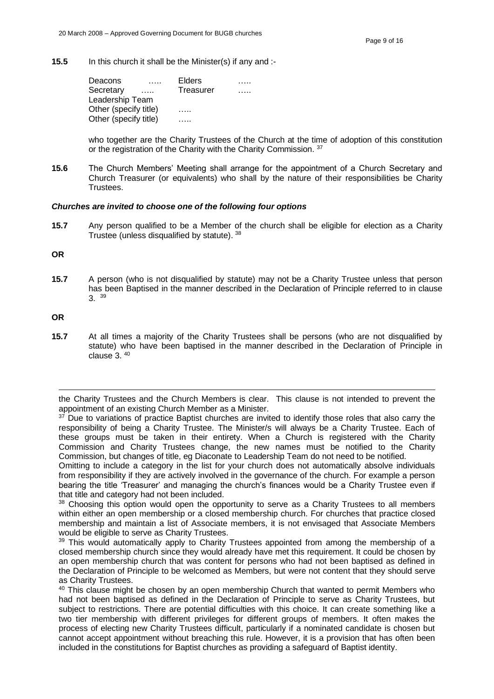**15.5** In this church it shall be the Minister(s) if any and :-

| Elders    |  |
|-----------|--|
| Treasurer |  |
|           |  |
|           |  |
|           |  |
|           |  |

who together are the Charity Trustees of the Church at the time of adoption of this constitution or the registration of the Charity with the Charity Commission. 37

**15.6** The Church Members' Meeting shall arrange for the appointment of a Church Secretary and Church Treasurer (or equivalents) who shall by the nature of their responsibilities be Charity Trustees.

### *Churches are invited to choose one of the following four options*

**15.7** Any person qualified to be a Member of the church shall be eligible for election as a Charity Trustee (unless disqualified by statute). 38

**OR** 

**15.7** A person (who is not disqualified by statute) may not be a Charity Trustee unless that person has been Baptised in the manner described in the Declaration of Principle referred to in clause 3. <sup>39</sup>

**OR**

**15.7** At all times a majority of the Charity Trustees shall be persons (who are not disqualified by statute) who have been baptised in the manner described in the Declaration of Principle in clause  $3.40$ 

Omitting to include a category in the list for your church does not automatically absolve individuals from responsibility if they are actively involved in the governance of the church. For example a person bearing the title 'Treasurer' and managing the church's finances would be a Charity Trustee even if that title and category had not been included.

<sup>38</sup> Choosing this option would open the opportunity to serve as a Charity Trustees to all members within either an open membership or a closed membership church. For churches that practice closed membership and maintain a list of Associate members, it is not envisaged that Associate Members would be eligible to serve as Charity Trustees.

<sup>39</sup> This would automatically apply to Charity Trustees appointed from among the membership of a closed membership church since they would already have met this requirement. It could be chosen by an open membership church that was content for persons who had not been baptised as defined in the Declaration of Principle to be welcomed as Members, but were not content that they should serve as Charity Trustees.

the Charity Trustees and the Church Members is clear. This clause is not intended to prevent the appointment of an existing Church Member as a Minister.

 $37$  Due to variations of practice Baptist churches are invited to identify those roles that also carry the responsibility of being a Charity Trustee. The Minister/s will always be a Charity Trustee. Each of these groups must be taken in their entirety. When a Church is registered with the Charity Commission and Charity Trustees change, the new names must be notified to the Charity Commission, but changes of title, eg Diaconate to Leadership Team do not need to be notified.

<sup>&</sup>lt;sup>40</sup> This clause might be chosen by an open membership Church that wanted to permit Members who had not been baptised as defined in the Declaration of Principle to serve as Charity Trustees, but subject to restrictions. There are potential difficulties with this choice. It can create something like a two tier membership with different privileges for different groups of members. It often makes the process of electing new Charity Trustees difficult, particularly if a nominated candidate is chosen but cannot accept appointment without breaching this rule. However, it is a provision that has often been included in the constitutions for Baptist churches as providing a safeguard of Baptist identity.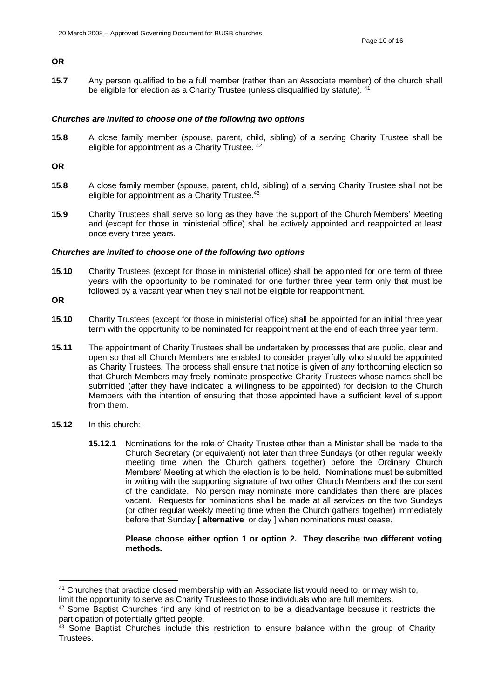# **OR**

**15.7** Any person qualified to be a full member (rather than an Associate member) of the church shall be eligible for election as a Charity Trustee (unless disqualified by statute). <sup>41</sup>

#### *Churches are invited to choose one of the following two options*

**15.8** A close family member (spouse, parent, child, sibling) of a serving Charity Trustee shall be eligible for appointment as a Charity Trustee. 42

#### **OR**

- **15.8** A close family member (spouse, parent, child, sibling) of a serving Charity Trustee shall not be eligible for appointment as a Charity Trustee.<sup>43</sup>
- **15.9** Charity Trustees shall serve so long as they have the support of the Church Members' Meeting and (except for those in ministerial office) shall be actively appointed and reappointed at least once every three years.

#### *Churches are invited to choose one of the following two options*

- **15.10** Charity Trustees (except for those in ministerial office) shall be appointed for one term of three years with the opportunity to be nominated for one further three year term only that must be followed by a vacant year when they shall not be eligible for reappointment.
- **OR**
- **15.10** Charity Trustees (except for those in ministerial office) shall be appointed for an initial three year term with the opportunity to be nominated for reappointment at the end of each three year term.
- **15.11** The appointment of Charity Trustees shall be undertaken by processes that are public, clear and open so that all Church Members are enabled to consider prayerfully who should be appointed as Charity Trustees. The process shall ensure that notice is given of any forthcoming election so that Church Members may freely nominate prospective Charity Trustees whose names shall be submitted (after they have indicated a willingness to be appointed) for decision to the Church Members with the intention of ensuring that those appointed have a sufficient level of support from them.
- **15.12** In this church:-
	- **15.12.1** Nominations for the role of Charity Trustee other than a Minister shall be made to the Church Secretary (or equivalent) not later than three Sundays (or other regular weekly meeting time when the Church gathers together) before the Ordinary Church Members' Meeting at which the election is to be held. Nominations must be submitted in writing with the supporting signature of two other Church Members and the consent of the candidate. No person may nominate more candidates than there are places vacant. Requests for nominations shall be made at all services on the two Sundays (or other regular weekly meeting time when the Church gathers together) immediately before that Sunday [ **alternative** or day ] when nominations must cease.

### **Please choose either option 1 or option 2. They describe two different voting methods.**

<sup>41</sup> Churches that practice closed membership with an Associate list would need to, or may wish to,

limit the opportunity to serve as Charity Trustees to those individuals who are full members.

 $42$  Some Baptist Churches find any kind of restriction to be a disadvantage because it restricts the participation of potentially gifted people.

 $43$  Some Baptist Churches include this restriction to ensure balance within the group of Charity Trustees.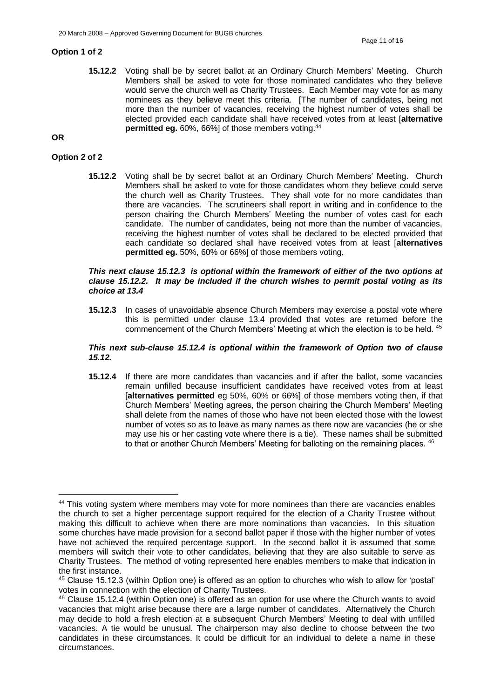### **Option 1 of 2**

**15.12.2** Voting shall be by secret ballot at an Ordinary Church Members' Meeting. Church Members shall be asked to vote for those nominated candidates who they believe would serve the church well as Charity Trustees. Each Member may vote for as many nominees as they believe meet this criteria. [The number of candidates, being not more than the number of vacancies, receiving the highest number of votes shall be elected provided each candidate shall have received votes from at least [**alternative permitted eg.** 60%, 66%] of those members voting.<sup>44</sup>

### **OR**

#### **Option 2 of 2**

**15.12.2** Voting shall be by secret ballot at an Ordinary Church Members' Meeting. Church Members shall be asked to vote for those candidates whom they believe could serve the church well as Charity Trustees. They shall vote for no more candidates than there are vacancies. The scrutineers shall report in writing and in confidence to the person chairing the Church Members' Meeting the number of votes cast for each candidate. The number of candidates, being not more than the number of vacancies, receiving the highest number of votes shall be declared to be elected provided that each candidate so declared shall have received votes from at least [**alternatives permitted eg.** 50%, 60% or 66%] of those members voting.

#### *This next clause 15.12.3 is optional within the framework of either of the two options at clause 15.12.2. It may be included if the church wishes to permit postal voting as its choice at 13.4*

**15.12.3** In cases of unavoidable absence Church Members may exercise a postal vote where this is permitted under clause 13.4 provided that votes are returned before the commencement of the Church Members' Meeting at which the election is to be held. <sup>45</sup>

#### *This next sub-clause 15.12.4 is optional within the framework of Option two of clause 15.12.*

**15.12.4** If there are more candidates than vacancies and if after the ballot, some vacancies remain unfilled because insufficient candidates have received votes from at least [**alternatives permitted** eg 50%, 60% or 66%] of those members voting then, if that Church Members' Meeting agrees, the person chairing the Church Members' Meeting shall delete from the names of those who have not been elected those with the lowest number of votes so as to leave as many names as there now are vacancies (he or she may use his or her casting vote where there is a tie). These names shall be submitted to that or another Church Members' Meeting for balloting on the remaining places. <sup>46</sup>

<sup>&</sup>lt;sup>44</sup> This voting system where members may vote for more nominees than there are vacancies enables the church to set a higher percentage support required for the election of a Charity Trustee without making this difficult to achieve when there are more nominations than vacancies. In this situation some churches have made provision for a second ballot paper if those with the higher number of votes have not achieved the required percentage support. In the second ballot it is assumed that some members will switch their vote to other candidates, believing that they are also suitable to serve as Charity Trustees. The method of voting represented here enables members to make that indication in the first instance.

<sup>45</sup> Clause 15.12.3 (within Option one) is offered as an option to churches who wish to allow for 'postal' votes in connection with the election of Charity Trustees.

<sup>&</sup>lt;sup>46</sup> Clause 15.12.4 (within Option one) is offered as an option for use where the Church wants to avoid vacancies that might arise because there are a large number of candidates. Alternatively the Church may decide to hold a fresh election at a subsequent Church Members' Meeting to deal with unfilled vacancies. A tie would be unusual. The chairperson may also decline to choose between the two candidates in these circumstances. It could be difficult for an individual to delete a name in these circumstances.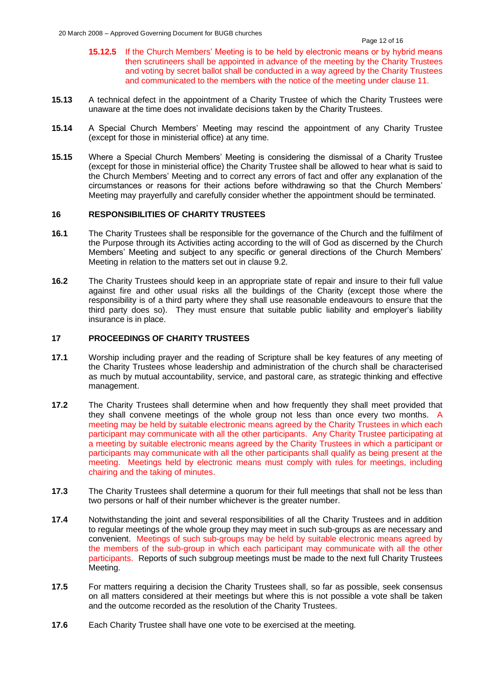- **15.12.5** If the Church Members' Meeting is to be held by electronic means or by hybrid means then scrutineers shall be appointed in advance of the meeting by the Charity Trustees and voting by secret ballot shall be conducted in a way agreed by the Charity Trustees and communicated to the members with the notice of the meeting under clause 11.
- **15.13** A technical defect in the appointment of a Charity Trustee of which the Charity Trustees were unaware at the time does not invalidate decisions taken by the Charity Trustees.
- **15.14** A Special Church Members' Meeting may rescind the appointment of any Charity Trustee (except for those in ministerial office) at any time.
- **15.15** Where a Special Church Members' Meeting is considering the dismissal of a Charity Trustee (except for those in ministerial office) the Charity Trustee shall be allowed to hear what is said to the Church Members' Meeting and to correct any errors of fact and offer any explanation of the circumstances or reasons for their actions before withdrawing so that the Church Members' Meeting may prayerfully and carefully consider whether the appointment should be terminated.

# **16 RESPONSIBILITIES OF CHARITY TRUSTEES**

- **16.1** The Charity Trustees shall be responsible for the governance of the Church and the fulfilment of the Purpose through its Activities acting according to the will of God as discerned by the Church Members' Meeting and subject to any specific or general directions of the Church Members' Meeting in relation to the matters set out in clause 9.2.
- **16.2** The Charity Trustees should keep in an appropriate state of repair and insure to their full value against fire and other usual risks all the buildings of the Charity (except those where the responsibility is of a third party where they shall use reasonable endeavours to ensure that the third party does so). They must ensure that suitable public liability and employer's liability insurance is in place.

# **17 PROCEEDINGS OF CHARITY TRUSTEES**

- **17.1** Worship including prayer and the reading of Scripture shall be key features of any meeting of the Charity Trustees whose leadership and administration of the church shall be characterised as much by mutual accountability, service, and pastoral care, as strategic thinking and effective management.
- **17.2** The Charity Trustees shall determine when and how frequently they shall meet provided that they shall convene meetings of the whole group not less than once every two months. A meeting may be held by suitable electronic means agreed by the Charity Trustees in which each participant may communicate with all the other participants. Any Charity Trustee participating at a meeting by suitable electronic means agreed by the Charity Trustees in which a participant or participants may communicate with all the other participants shall qualify as being present at the meeting. Meetings held by electronic means must comply with rules for meetings, including chairing and the taking of minutes.
- **17.3** The Charity Trustees shall determine a quorum for their full meetings that shall not be less than two persons or half of their number whichever is the greater number.
- **17.4** Notwithstanding the joint and several responsibilities of all the Charity Trustees and in addition to regular meetings of the whole group they may meet in such sub-groups as are necessary and convenient. Meetings of such sub-groups may be held by suitable electronic means agreed by the members of the sub-group in which each participant may communicate with all the other participants. Reports of such subgroup meetings must be made to the next full Charity Trustees Meeting.
- **17.5** For matters requiring a decision the Charity Trustees shall, so far as possible, seek consensus on all matters considered at their meetings but where this is not possible a vote shall be taken and the outcome recorded as the resolution of the Charity Trustees.
- **17.6** Each Charity Trustee shall have one vote to be exercised at the meeting*.*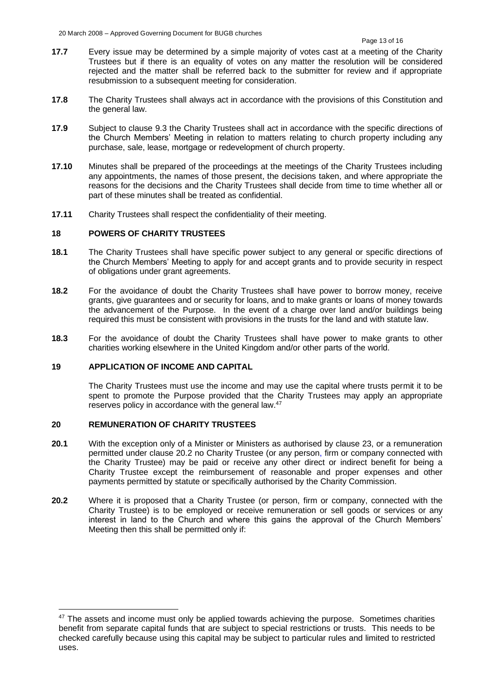- **17.7** Every issue may be determined by a simple majority of votes cast at a meeting of the Charity Trustees but if there is an equality of votes on any matter the resolution will be considered rejected and the matter shall be referred back to the submitter for review and if appropriate resubmission to a subsequent meeting for consideration.
- **17.8** The Charity Trustees shall always act in accordance with the provisions of this Constitution and the general law.
- **17.9** Subject to clause 9.3 the Charity Trustees shall act in accordance with the specific directions of the Church Members' Meeting in relation to matters relating to church property including any purchase, sale, lease, mortgage or redevelopment of church property.
- **17.10** Minutes shall be prepared of the proceedings at the meetings of the Charity Trustees including any appointments, the names of those present, the decisions taken, and where appropriate the reasons for the decisions and the Charity Trustees shall decide from time to time whether all or part of these minutes shall be treated as confidential.
- **17.11** Charity Trustees shall respect the confidentiality of their meeting.

## **18 POWERS OF CHARITY TRUSTEES**

- **18.1** The Charity Trustees shall have specific power subject to any general or specific directions of the Church Members' Meeting to apply for and accept grants and to provide security in respect of obligations under grant agreements.
- **18.2** For the avoidance of doubt the Charity Trustees shall have power to borrow money, receive grants, give guarantees and or security for loans, and to make grants or loans of money towards the advancement of the Purpose. In the event of a charge over land and/or buildings being required this must be consistent with provisions in the trusts for the land and with statute law.
- **18.3** For the avoidance of doubt the Charity Trustees shall have power to make grants to other charities working elsewhere in the United Kingdom and/or other parts of the world.

### **19 APPLICATION OF INCOME AND CAPITAL**

The Charity Trustees must use the income and may use the capital where trusts permit it to be spent to promote the Purpose provided that the Charity Trustees may apply an appropriate reserves policy in accordance with the general law.<sup>47</sup>

# **20 REMUNERATION OF CHARITY TRUSTEES**

- **20.1** With the exception only of a Minister or Ministers as authorised by clause 23, or a remuneration permitted under clause 20.2 no Charity Trustee (or any person, firm or company connected with the Charity Trustee) may be paid or receive any other direct or indirect benefit for being a Charity Trustee except the reimbursement of reasonable and proper expenses and other payments permitted by statute or specifically authorised by the Charity Commission.
- **20.2** Where it is proposed that a Charity Trustee (or person, firm or company, connected with the Charity Trustee) is to be employed or receive remuneration or sell goods or services or any interest in land to the Church and where this gains the approval of the Church Members' Meeting then this shall be permitted only if:

<sup>&</sup>lt;sup>47</sup> The assets and income must only be applied towards achieving the purpose. Sometimes charities benefit from separate capital funds that are subject to special restrictions or trusts. This needs to be checked carefully because using this capital may be subject to particular rules and limited to restricted uses.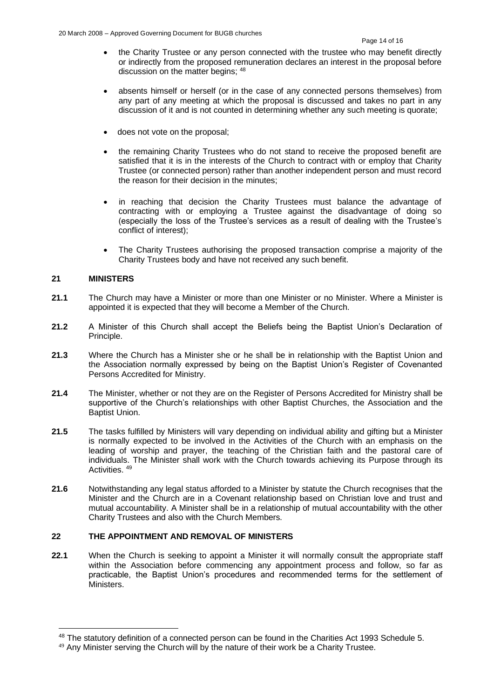- the Charity Trustee or any person connected with the trustee who may benefit directly or indirectly from the proposed remuneration declares an interest in the proposal before discussion on the matter begins:  $48$
- absents himself or herself (or in the case of any connected persons themselves) from any part of any meeting at which the proposal is discussed and takes no part in any discussion of it and is not counted in determining whether any such meeting is quorate;
- does not vote on the proposal;
- the remaining Charity Trustees who do not stand to receive the proposed benefit are satisfied that it is in the interests of the Church to contract with or employ that Charity Trustee (or connected person) rather than another independent person and must record the reason for their decision in the minutes;
- in reaching that decision the Charity Trustees must balance the advantage of contracting with or employing a Trustee against the disadvantage of doing so (especially the loss of the Trustee's services as a result of dealing with the Trustee's conflict of interest);
- The Charity Trustees authorising the proposed transaction comprise a majority of the Charity Trustees body and have not received any such benefit.

# **21 MINISTERS**

- **21.1** The Church may have a Minister or more than one Minister or no Minister. Where a Minister is appointed it is expected that they will become a Member of the Church.
- **21.2** A Minister of this Church shall accept the Beliefs being the Baptist Union's Declaration of Principle.
- **21.3** Where the Church has a Minister she or he shall be in relationship with the Baptist Union and the Association normally expressed by being on the Baptist Union's Register of Covenanted Persons Accredited for Ministry.
- **21.4** The Minister, whether or not they are on the Register of Persons Accredited for Ministry shall be supportive of the Church's relationships with other Baptist Churches, the Association and the Baptist Union.
- **21.5** The tasks fulfilled by Ministers will vary depending on individual ability and gifting but a Minister is normally expected to be involved in the Activities of the Church with an emphasis on the leading of worship and prayer, the teaching of the Christian faith and the pastoral care of individuals. The Minister shall work with the Church towards achieving its Purpose through its Activities. <sup>49</sup>
- **21.6** Notwithstanding any legal status afforded to a Minister by statute the Church recognises that the Minister and the Church are in a Covenant relationship based on Christian love and trust and mutual accountability. A Minister shall be in a relationship of mutual accountability with the other Charity Trustees and also with the Church Members.

### **22 THE APPOINTMENT AND REMOVAL OF MINISTERS**

**22.1** When the Church is seeking to appoint a Minister it will normally consult the appropriate staff within the Association before commencing any appointment process and follow, so far as practicable, the Baptist Union's procedures and recommended terms for the settlement of Ministers.

<sup>&</sup>lt;sup>48</sup> The statutory definition of a connected person can be found in the Charities Act 1993 Schedule 5.

<sup>&</sup>lt;sup>49</sup> Any Minister serving the Church will by the nature of their work be a Charity Trustee.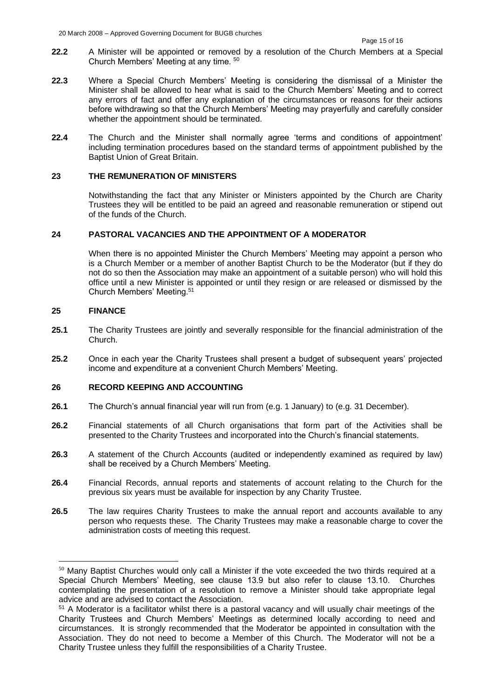- **22.2** A Minister will be appointed or removed by a resolution of the Church Members at a Special Church Members' Meeting at any time. <sup>50</sup>
- **22.3** Where a Special Church Members' Meeting is considering the dismissal of a Minister the Minister shall be allowed to hear what is said to the Church Members' Meeting and to correct any errors of fact and offer any explanation of the circumstances or reasons for their actions before withdrawing so that the Church Members' Meeting may prayerfully and carefully consider whether the appointment should be terminated.
- **22.4** The Church and the Minister shall normally agree 'terms and conditions of appointment' including termination procedures based on the standard terms of appointment published by the Baptist Union of Great Britain.

## **23 THE REMUNERATION OF MINISTERS**

Notwithstanding the fact that any Minister or Ministers appointed by the Church are Charity Trustees they will be entitled to be paid an agreed and reasonable remuneration or stipend out of the funds of the Church.

#### **24 PASTORAL VACANCIES AND THE APPOINTMENT OF A MODERATOR**

When there is no appointed Minister the Church Members' Meeting may appoint a person who is a Church Member or a member of another Baptist Church to be the Moderator (but if they do not do so then the Association may make an appointment of a suitable person) who will hold this office until a new Minister is appointed or until they resign or are released or dismissed by the Church Members' Meeting.<sup>51</sup>

### **25 FINANCE**

- **25.1** The Charity Trustees are jointly and severally responsible for the financial administration of the Church.
- **25.2** Once in each year the Charity Trustees shall present a budget of subsequent years' projected income and expenditure at a convenient Church Members' Meeting.

## **26 RECORD KEEPING AND ACCOUNTING**

- **26.1** The Church's annual financial year will run from (e.g. 1 January) to (e.g. 31 December).
- **26.2** Financial statements of all Church organisations that form part of the Activities shall be presented to the Charity Trustees and incorporated into the Church's financial statements.
- **26.3** A statement of the Church Accounts (audited or independently examined as required by law) shall be received by a Church Members' Meeting.
- **26.4** Financial Records, annual reports and statements of account relating to the Church for the previous six years must be available for inspection by any Charity Trustee.
- **26.5** The law requires Charity Trustees to make the annual report and accounts available to any person who requests these. The Charity Trustees may make a reasonable charge to cover the administration costs of meeting this request.

<sup>&</sup>lt;sup>50</sup> Many Baptist Churches would only call a Minister if the vote exceeded the two thirds required at a Special Church Members' Meeting, see clause 13.9 but also refer to clause 13.10. Churches contemplating the presentation of a resolution to remove a Minister should take appropriate legal advice and are advised to contact the Association.

<sup>&</sup>lt;sup>51</sup> A Moderator is a facilitator whilst there is a pastoral vacancy and will usually chair meetings of the Charity Trustees and Church Members' Meetings as determined locally according to need and circumstances. It is strongly recommended that the Moderator be appointed in consultation with the Association. They do not need to become a Member of this Church. The Moderator will not be a Charity Trustee unless they fulfill the responsibilities of a Charity Trustee.